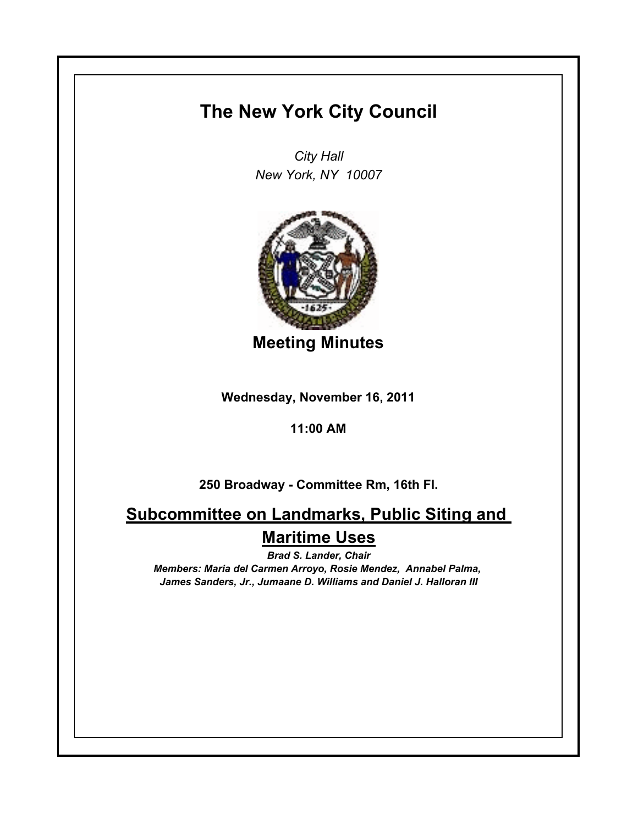## **The New York City Council**

*City Hall New York, NY 10007*



**Meeting Minutes**

**Wednesday, November 16, 2011**

**11:00 AM**

**250 Broadway - Committee Rm, 16th Fl.**

**Subcommittee on Landmarks, Public Siting and Maritime Uses**

*Brad S. Lander, Chair Members: Maria del Carmen Arroyo, Rosie Mendez, Annabel Palma, James Sanders, Jr., Jumaane D. Williams and Daniel J. Halloran III*